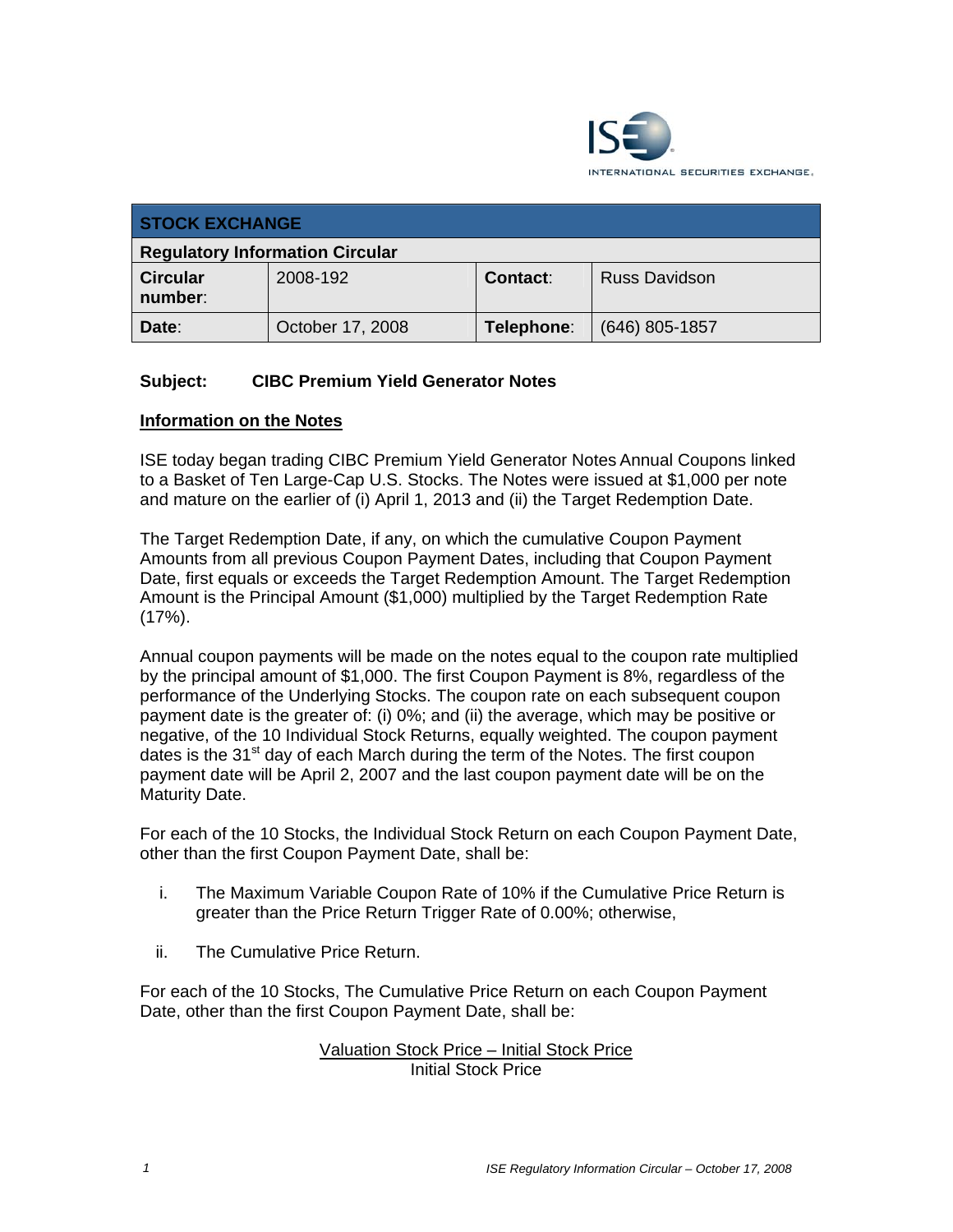

| <b>STOCK EXCHANGE</b>                  |                  |                 |                      |
|----------------------------------------|------------------|-----------------|----------------------|
| <b>Regulatory Information Circular</b> |                  |                 |                      |
| <b>Circular</b><br>number:             | 2008-192         | <b>Contact:</b> | <b>Russ Davidson</b> |
| Date:                                  | October 17, 2008 | Telephone:      | $(646)$ 805-1857     |

# **Subject: CIBC Premium Yield Generator Notes**

## **Information on the Notes**

ISE today began trading CIBC Premium Yield Generator Notes Annual Coupons linked to a Basket of Ten Large-Cap U.S. Stocks. The Notes were issued at \$1,000 per note and mature on the earlier of (i) April 1, 2013 and (ii) the Target Redemption Date.

The Target Redemption Date, if any, on which the cumulative Coupon Payment Amounts from all previous Coupon Payment Dates, including that Coupon Payment Date, first equals or exceeds the Target Redemption Amount. The Target Redemption Amount is the Principal Amount (\$1,000) multiplied by the Target Redemption Rate  $(17\%)$ .

Annual coupon payments will be made on the notes equal to the coupon rate multiplied by the principal amount of \$1,000. The first Coupon Payment is 8%, regardless of the performance of the Underlying Stocks. The coupon rate on each subsequent coupon payment date is the greater of: (i) 0%; and (ii) the average, which may be positive or negative, of the 10 Individual Stock Returns, equally weighted. The coupon payment dates is the  $31<sup>st</sup>$  day of each March during the term of the Notes. The first coupon payment date will be April 2, 2007 and the last coupon payment date will be on the Maturity Date.

For each of the 10 Stocks, the Individual Stock Return on each Coupon Payment Date, other than the first Coupon Payment Date, shall be:

- i. The Maximum Variable Coupon Rate of 10% if the Cumulative Price Return is greater than the Price Return Trigger Rate of 0.00%; otherwise,
- ii. The Cumulative Price Return.

For each of the 10 Stocks, The Cumulative Price Return on each Coupon Payment Date, other than the first Coupon Payment Date, shall be:

## Valuation Stock Price – Initial Stock Price Initial Stock Price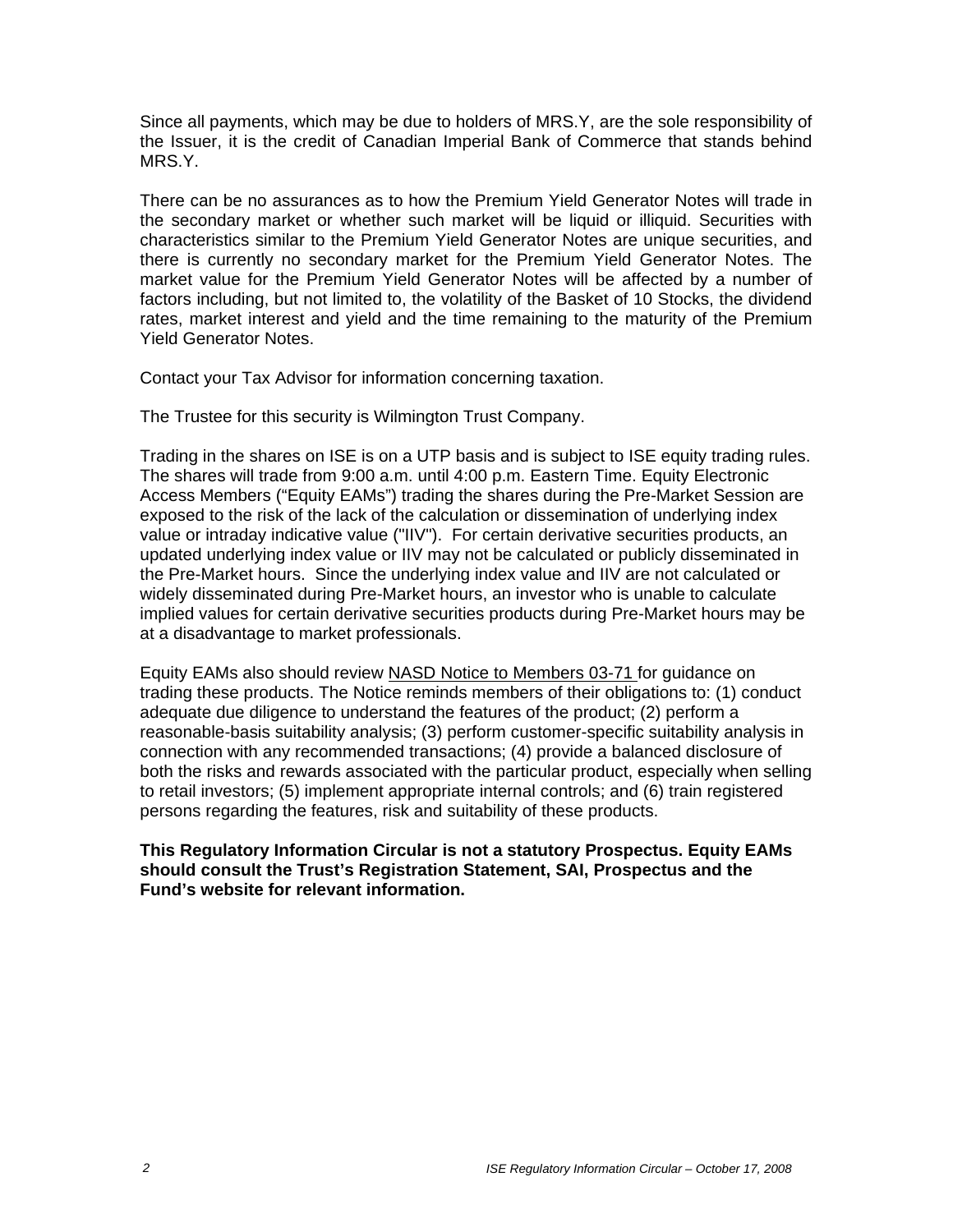Since all payments, which may be due to holders of MRS.Y, are the sole responsibility of the Issuer, it is the credit of Canadian Imperial Bank of Commerce that stands behind MRS.Y.

There can be no assurances as to how the Premium Yield Generator Notes will trade in the secondary market or whether such market will be liquid or illiquid. Securities with characteristics similar to the Premium Yield Generator Notes are unique securities, and there is currently no secondary market for the Premium Yield Generator Notes. The market value for the Premium Yield Generator Notes will be affected by a number of factors including, but not limited to, the volatility of the Basket of 10 Stocks, the dividend rates, market interest and yield and the time remaining to the maturity of the Premium Yield Generator Notes.

Contact your Tax Advisor for information concerning taxation.

The Trustee for this security is Wilmington Trust Company.

Trading in the shares on ISE is on a UTP basis and is subject to ISE equity trading rules. The shares will trade from 9:00 a.m. until 4:00 p.m. Eastern Time. Equity Electronic Access Members ("Equity EAMs") trading the shares during the Pre-Market Session are exposed to the risk of the lack of the calculation or dissemination of underlying index value or intraday indicative value ("IIV"). For certain derivative securities products, an updated underlying index value or IIV may not be calculated or publicly disseminated in the Pre-Market hours. Since the underlying index value and IIV are not calculated or widely disseminated during Pre-Market hours, an investor who is unable to calculate implied values for certain derivative securities products during Pre-Market hours may be at a disadvantage to market professionals.

Equity EAMs also should review NASD Notice to Members 03-71 for guidance on trading these products. The Notice reminds members of their obligations to: (1) conduct adequate due diligence to understand the features of the product; (2) perform a reasonable-basis suitability analysis; (3) perform customer-specific suitability analysis in connection with any recommended transactions; (4) provide a balanced disclosure of both the risks and rewards associated with the particular product, especially when selling to retail investors; (5) implement appropriate internal controls; and (6) train registered persons regarding the features, risk and suitability of these products.

**This Regulatory Information Circular is not a statutory Prospectus. Equity EAMs should consult the Trust's Registration Statement, SAI, Prospectus and the Fund's website for relevant information.**